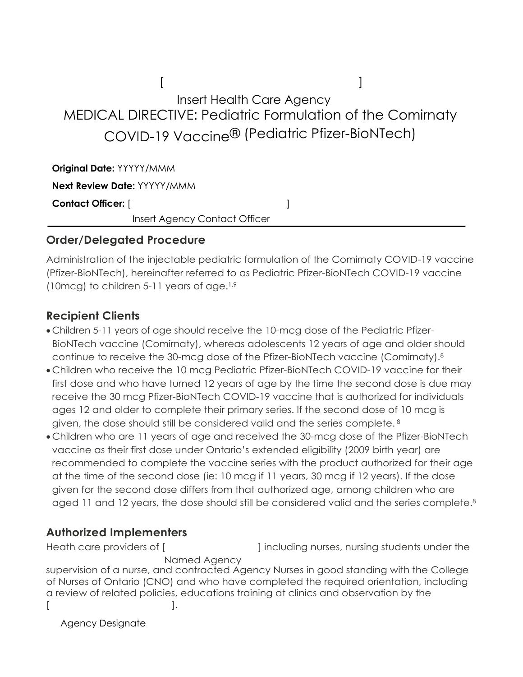# $[$ MEDICAL DIRECTIVE: Pediatric Formulation of the Comirnaty COVID-19 Vaccine® (Pediatric Pfizer-BioNTech) Insert Health Care Agency

| <b>Original Date: YYYYY/MMM</b>    |  |
|------------------------------------|--|
| <b>Next Review Date: YYYYY/MMM</b> |  |
| <b>Contact Officer:</b> [          |  |
| Insert Agency Contact Officer      |  |

### **Order/Delegated Procedure**

Administration of the injectable pediatric formulation of the Comirnaty COVID-19 vaccine (Pfizer-BioNTech), hereinafter referred to as Pediatric Pfizer-BioNTech COVID-19 vaccine (10mcg) to children 5-11 years of age.1,9

## **Recipient Clients**

- Children 5-11 years of age should receive the 10-mcg dose of the Pediatric Pfizer-BioNTech vaccine (Comirnaty), whereas adolescents 12 years of age and older should continue to receive the 30-mcg dose of the Pfizer-BioNTech vaccine (Comirnaty).8
- Children who receive the 10 mcg Pediatric Pfizer-BioNTech COVID-19 vaccine for their first dose and who have turned 12 years of age by the time the second dose is due may receive the 30 mcg Pfizer-BioNTech COVID-19 vaccine that is authorized for individuals ages 12 and older to complete their primary series. If the second dose of 10 mcg is given, the dose should still be considered valid and the series complete. 8
- Children who are 11 years of age and received the 30-mcg dose of the Pfizer-BioNTech vaccine as their first dose under Ontario's extended eligibility (2009 birth year) are recommended to complete the vaccine series with the product authorized for their age at the time of the second dose (ie: 10 mcg if 11 years, 30 mcg if 12 years). If the dose given for the second dose differs from that authorized age, among children who are aged 11 and 12 years, the dose should still be considered valid and the series complete.<sup>8</sup>

### **Authorized Implementers**

Heath care providers of [  $\qquad$  ] including nurses, nursing students under the

supervision of a nurse, and contracted Agency Nurses in good standing with the College of Nurses of Ontario (CNO) and who have completed the required orientation, including a review of related policies, educations training at clinics and observation by the  $[$   $]$ . Named Agency

Agency Designate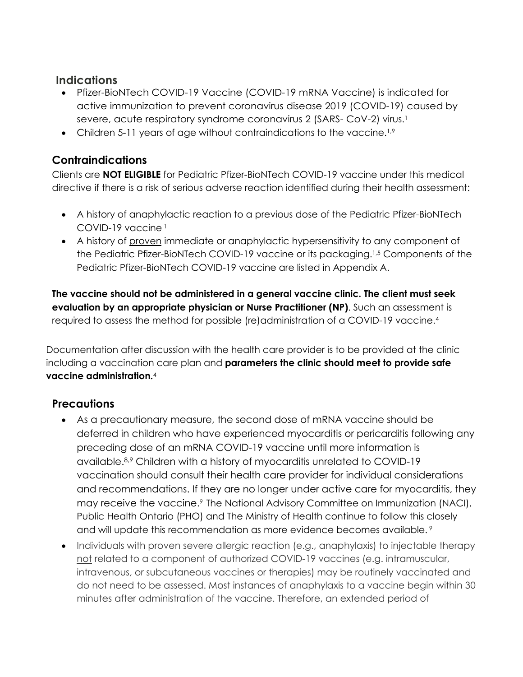#### **Indications**

- Pfizer-BioNTech COVID-19 Vaccine (COVID-19 mRNA Vaccine) is indicated for active immunization to prevent coronavirus disease 2019 (COVID-19) caused by severe, acute respiratory syndrome coronavirus 2 (SARS- CoV-2) virus.<sup>1</sup>
- Children 5-11 years of age without contraindications to the vaccine.<sup>1,9</sup>

### **Contraindications**

Clients are **NOT ELIGIBLE** for Pediatric Pfizer-BioNTech COVID-19 vaccine under this medical directive if there is a risk of serious adverse reaction identified during their health assessment:

- A history of anaphylactic reaction to a previous dose of the Pediatric Pfizer-BioNTech COVID-19 vaccine 1
- A history of proven immediate or anaphylactic hypersensitivity to any component of the Pediatric Pfizer-BioNTech COVID-19 vaccine or its packaging.1,5 Components of the Pediatric Pfizer-BioNTech COVID-19 vaccine are listed in Appendix A.

**The vaccine should not be administered in a general vaccine clinic. The client must seek evaluation by an appropriate physician or Nurse Practitioner (NP)**. Such an assessment is required to assess the method for possible (re)administration of a COVID-19 vaccine.4

Documentation after discussion with the health care provider is to be provided at the clinic including a vaccination care plan and **parameters the clinic should meet to provide safe vaccine administration.**<sup>4</sup>

#### **Precautions**

- As a precautionary measure, the second dose of mRNA vaccine should be deferred in children who have experienced myocarditis or pericarditis following any preceding dose of an mRNA COVID-19 vaccine until more information is available.8,9 Children with a history of myocarditis unrelated to COVID-19 vaccination should consult their health care provider for individual considerations and recommendations. If they are no longer under active care for myocarditis, they may receive the vaccine.<sup>9</sup> The National Advisory Committee on Immunization (NACI), Public Health Ontario (PHO) and The Ministry of Health continue to follow this closely and will update this recommendation as more evidence becomes available.<sup>9</sup>
- Individuals with proven severe allergic reaction (e.g., anaphylaxis) to injectable therapy not related to a component of authorized COVID-19 vaccines (e.g. intramuscular, intravenous, or subcutaneous vaccines or therapies) may be routinely vaccinated and do not need to be assessed. Most instances of anaphylaxis to a vaccine begin within 30 minutes after administration of the vaccine. Therefore, an extended period of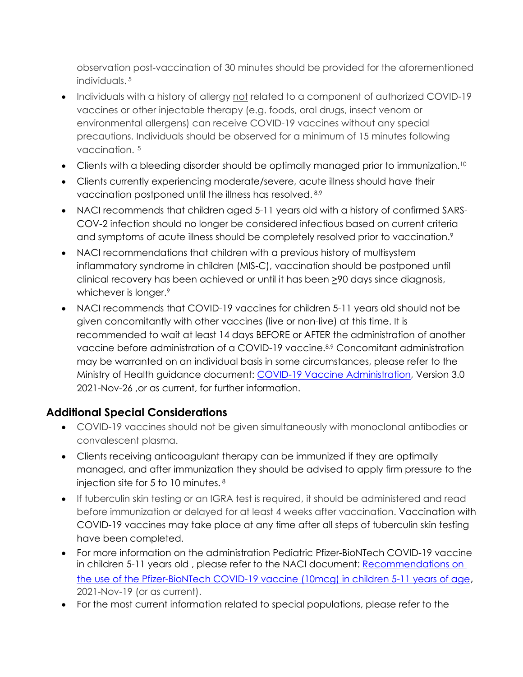observation post-vaccination of 30 minutes should be provided for the aforementioned individuals. 5

- Individuals with a history of allergy not related to a component of authorized COVID-19 vaccines or other injectable therapy (e.g. foods, oral drugs, insect venom or environmental allergens) can receive COVID-19 vaccines without any special precautions. Individuals should be observed for a minimum of 15 minutes following vaccination. 5
- Clients with a bleeding disorder should be optimally managed prior to immunization.<sup>10</sup>
- Clients currently experiencing moderate/severe, acute illness should have their vaccination postponed until the illness has resolved. 8,9
- NACI recommends that children aged 5-11 years old with a history of confirmed SARS-COV-2 infection should no longer be considered infectious based on current criteria and symptoms of acute illness should be completely resolved prior to vaccination.<sup>9</sup>
- NACI recommendations that children with a previous history of multisystem inflammatory syndrome in children (MIS-C), vaccination should be postponed until clinical recovery has been achieved or until it has been >90 days since diagnosis, whichever is longer.<sup>9</sup>
- NACI recommends that COVID-19 vaccines for children 5-11 years old should not be given concomitantly with other vaccines (live or non-live) at this time. It is recommended to wait at least 14 days BEFORE or AFTER the administration of another vaccine before administration of a COVID-19 vaccine.<sup>8,9</sup> Concomitant administration may be warranted on an individual basis in some circumstances, please refer to the Ministry of Health guidance document: [COVID-19 Vaccine Administration,](https://www.health.gov.on.ca/en/pro/programs/publichealth/coronavirus/docs/vaccine/COVID-19_vaccine_administration.pdf) Version 3.0 2021-Nov-26 ,or as current, for further information.

## **Additional Special Considerations**

- COVID-19 vaccines should not be given simultaneously with monoclonal antibodies or convalescent plasma.
- Clients receiving anticoagulant therapy can be immunized if they are optimally managed, and after immunization they should be advised to apply firm pressure to the injection site for 5 to 10 minutes. 8
- If tuberculin skin testing or an IGRA test is required, it should be administered and read before immunization or delayed for at least 4 weeks after vaccination. Vaccination with COVID-19 vaccines may take place at any time after all steps of tuberculin skin testing have been completed.
- For more information on the administration Pediatric Pfizer-BioNTech COVID-19 vaccine in children 5-11 years old , please refer to the NACI document: [Recommendations on](https://www.canada.ca/content/dam/phac-aspc/documents/services/immunization/national-advisory-committee-on-immunization-naci/recommendations-use-covid-19-vaccines/pfizer-biontech-10-mcg-children-5-11-years-age/pfizer-biontech-10-mcg-children-5-11-years-age.pdf) [the use of the Pfizer-BioNTech COVID-19 vaccine \(10mcg\) in children 5-11 years of age,](https://www.canada.ca/content/dam/phac-aspc/documents/services/immunization/national-advisory-committee-on-immunization-naci/recommendations-use-covid-19-vaccines/pfizer-biontech-10-mcg-children-5-11-years-age/pfizer-biontech-10-mcg-children-5-11-years-age.pdf) 2021-Nov-19 (or as current).
- For the most current information related to special populations, please refer to the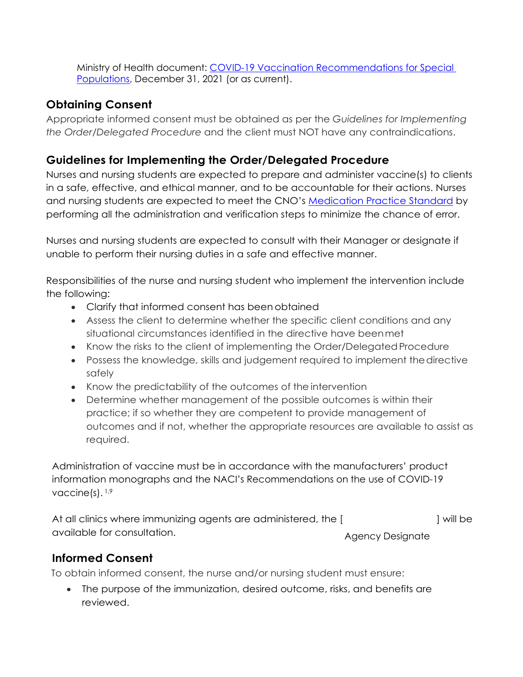Ministry of Health document: [COVID-19 Vaccination Recommendations for Special](https://www.health.gov.on.ca/en/pro/programs/publichealth/coronavirus/docs/vaccine/COVID-19_vaccination_rec_special_populations.pdf)  [Populations,](https://www.health.gov.on.ca/en/pro/programs/publichealth/coronavirus/docs/vaccine/COVID-19_vaccination_rec_special_populations.pdf) December 31, 2021 (or as current).

## **Obtaining Consent**

Appropriate informed consent must be obtained as per the *Guidelines for Implementing the Order/Delegated Procedure* and the client must NOT have any contraindications.

## **Guidelines for Implementing the Order/Delegated Procedure**

Nurses and nursing students are expected to prepare and administer vaccine(s) to clients in a safe, effective, and ethical manner, and to be accountable for their actions. Nurses and nursing students are expected to meet the CNO's **Medication Practice Standard** by performing all the administration and verification steps to minimize the chance of error.

Nurses and nursing students are expected to consult with their Manager or designate if unable to perform their nursing duties in a safe and effective manner.

Responsibilities of the nurse and nursing student who implement the intervention include the following:

- Clarify that informed consent has been obtained
- Assess the client to determine whether the specific client conditions and any situational circumstances identified in the directive have beenmet
- Know the risks to the client of implementing the Order/Delegated Procedure
- Possess the knowledge, skills and judgement required to implement the directive safely
- Know the predictability of the outcomes of the intervention
- Determine whether management of the possible outcomes is within their practice; if so whether they are competent to provide management of outcomes and if not, whether the appropriate resources are available to assist as required.

Administration of vaccine must be in accordance with the manufacturers' product information monographs and the NACI's Recommendations on the use of COVID-19 vaccine $(s)$ .  $1,9$ 

At all clinics where immunizing agents are administered, the [  $\qquad$  ] will be available for consultation. Agency Designate

## **Informed Consent**

To obtain informed consent, the nurse and/or nursing student must ensure:

• The purpose of the immunization, desired outcome, risks, and benefits are reviewed.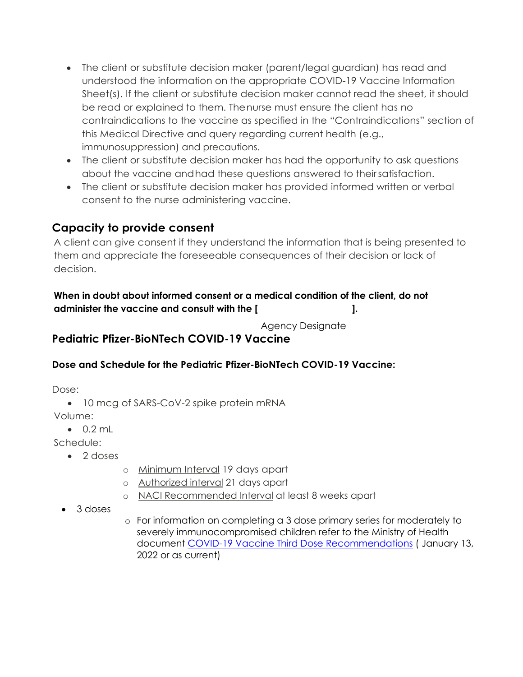- The client or substitute decision maker (parent/legal guardian) has read and understood the information on the appropriate COVID-19 Vaccine Information Sheet(s). If the client or substitute decision maker cannot read the sheet, it should be read or explained to them. Thenurse must ensure the client has no contraindications to the vaccine as specified in the "Contraindications" section of this Medical Directive and query regarding current health (e.g., immunosuppression) and precautions.
- The client or substitute decision maker has had the opportunity to ask questions about the vaccine andhad these questions answered to theirsatisfaction.
- The client or substitute decision maker has provided informed written or verbal consent to the nurse administering vaccine.

## **Capacity to provide consent**

A client can give consent if they understand the information that is being presented to them and appreciate the foreseeable consequences of their decision or lack of decision.

#### **When in doubt about informed consent or a medical condition of the client, do not administer the vaccine and consult with the [ ].**

Agency Designate

## **Pediatric Pfizer-BioNTech COVID-19 Vaccine**

#### **Dose and Schedule for the Pediatric Pfizer-BioNTech COVID-19 Vaccine:**

Dose:

• 10 mcg of SARS-CoV-2 spike protein mRNA

Volume:

 $\bullet$  0.2 mL

Schedule:

- 2 doses
- o Minimum Interval 19 days apart
- o Authorized interval 21 days apart
- o NACI Recommended Interval at least 8 weeks apart
- 3 doses
- o For information on completing a 3 dose primary series for moderately to severely immunocompromised children refer to the Ministry of Health document [COVID-19 Vaccine Third Dose Recommendations](https://www.health.gov.on.ca/en/pro/programs/publichealth/coronavirus/docs/vaccine/COVID-19_vaccine_third_dose_recommendations.pdf) ( January 13, 2022 or as current)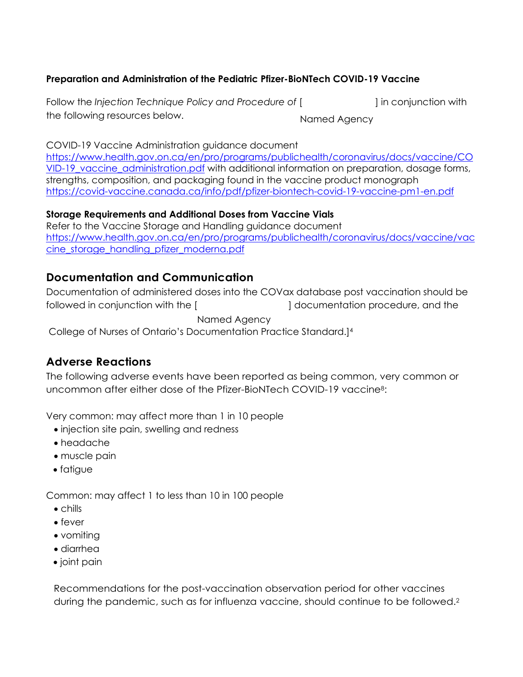#### **Preparation and Administration of the Pediatric Pfizer-BioNTech COVID-19 Vaccine**

Follow the *Injection Technique Policy and Procedure of* [  $\qquad$  ] in conjunction with the following resources below. Named Agency

COVID-19 Vaccine Administration guidance document

[https://www.health.gov.on.ca/en/pro/programs/publichealth/coronavirus/docs/vaccine/CO](https://www.health.gov.on.ca/en/pro/programs/publichealth/coronavirus/docs/vaccine/COVID-19_vaccine_administration.pdf) [VID-19\\_vaccine\\_administration.pdf](https://www.health.gov.on.ca/en/pro/programs/publichealth/coronavirus/docs/vaccine/COVID-19_vaccine_administration.pdf) with additional information on preparation, dosage forms, strengths, composition, and packaging found in the vaccine product monograph <https://covid-vaccine.canada.ca/info/pdf/pfizer-biontech-covid-19-vaccine-pm1-en.pdf>

#### **Storage Requirements and Additional Doses from Vaccine Vials**

Refer to the Vaccine Storage and Handling guidance document [https://www.health.gov.on.ca/en/pro/programs/publichealth/coronavirus/docs/vaccine/vac](https://www.health.gov.on.ca/en/pro/programs/publichealth/coronavirus/docs/vaccine/vaccine_storage_handling_pfizer_moderna.pdf) [cine\\_storage\\_handling\\_pfizer\\_moderna.pdf](https://www.health.gov.on.ca/en/pro/programs/publichealth/coronavirus/docs/vaccine/vaccine_storage_handling_pfizer_moderna.pdf)

#### **Documentation and Communication**

Documentation of administered doses into the COVax database post vaccination should be followed in conjunction with the [  $\qquad$  ] documentation procedure, and the

Named Agency

College of Nurses of Ontario's Documentation Practice Standard.]4

#### **Adverse Reactions**

The following adverse events have been reported as being common, very common or uncommon after either dose of the Pfizer-BioNTech COVID-19 vaccine8:

Very common: may affect more than 1 in 10 people

- injection site pain, swelling and redness
- headache
- muscle pain
- fatigue

Common: may affect 1 to less than 10 in 100 people

- chills
- fever
- vomiting
- diarrhea
- joint pain

Recommendations for the post-vaccination observation period for other vaccines during the pandemic, such as for influenza vaccine, should continue to be followed.2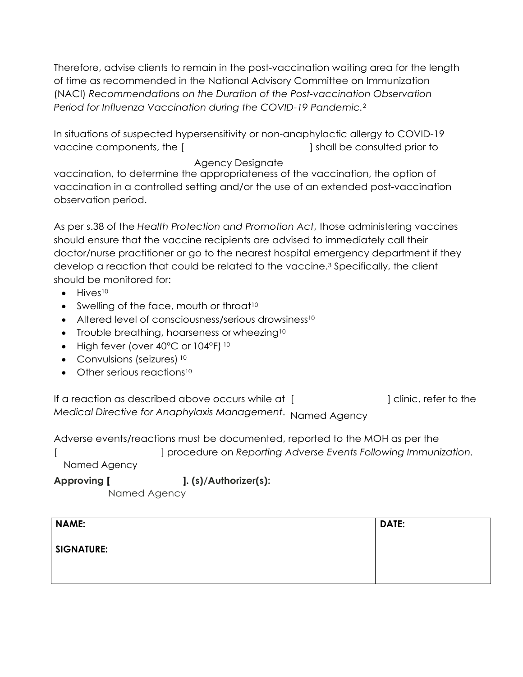Therefore, advise clients to remain in the post-vaccination waiting area for the length of time as recommended in the National Advisory Committee on Immunization (NACI) *Recommendations on the Duration of the Post-vaccination Observation Period for Influenza Vaccination during the COVID-19 Pandemic.*<sup>2</sup>

In situations of suspected hypersensitivity or non-anaphylactic allergy to COVID-19 vaccine components, the [  $\qquad \qquad$  ] shall be consulted prior to

#### Agency Designate

vaccination, to determine the appropriateness of the vaccination, the option of vaccination in a controlled setting and/or the use of an extended post-vaccination observation period.

As per s.38 of the *Health Protection and Promotion Act*, those administering vaccines should ensure that the vaccine recipients are advised to immediately call their doctor/nurse practitioner or go to the nearest hospital emergency department if they develop a reaction that could be related to the vaccine.3 Specifically, the client should be monitored for:

- $\bullet$  Hives<sup>10</sup>
- Swelling of the face, mouth or throat<sup>10</sup>
- Altered level of consciousness/serious drowsiness<sup>10</sup>
- Trouble breathing, hoarseness or wheezing<sup>10</sup>
- High fever (over 40°C or 104°F) <sup>10</sup>
- Convulsions (seizures) <sup>10</sup>
- Other serious reactions<sup>10</sup>

If a reaction as described above occurs while at [  $\qquad \qquad$  ] clinic, refer to the *Medical Directive for Anaphylaxis Management*. Named Agency

Adverse events/reactions must be documented, reported to the MOH as per the [ ] procedure on *Reporting Adverse Events Following Immunization.* Named Agency

**Approving [ ]. (s)/Authorizer(s):**

Named Agency

| <b>NAME:</b>      | <b>DATE:</b> |
|-------------------|--------------|
| <b>SIGNATURE:</b> |              |
|                   |              |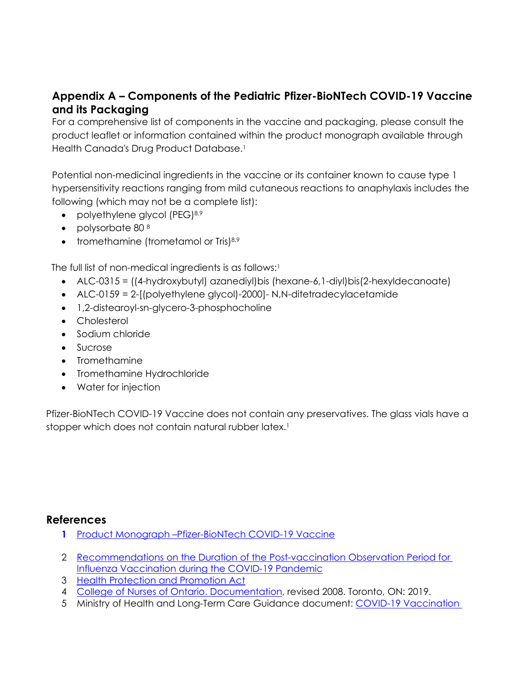### **Appendix A – Components of the Pediatric Pfizer-BioNTech COVID-19 Vaccine and its Packaging**

For a comprehensive list of components in the vaccine and packaging, please consult the product leaflet or information contained within the product monograph available through Health Canada's Drug Product Database.<sup>1</sup>

Potential non-medicinal ingredients in the vaccine or its container known to cause type 1 hypersensitivity reactions ranging from mild cutaneous reactions to anaphylaxis includes the following (which may not be a complete list):

- polyethylene glycol (PEG)<sup>8,9</sup>
- polysorbate 80 8
- tromethamine (trometamol or Tris)<sup>8,9</sup>

The full list of non-medical ingredients is as follows:<sup>1</sup>

- ALC-0315 = ((4-hydroxybutyl) azanediyl)bis (hexane-6,1-diyl)bis(2-hexyldecanoate)
- ALC-0159 = 2-[(polyethylene glycol)-2000]- N,N-ditetradecylacetamide
- 1,2-distearoyl-sn-glycero-3-phosphocholine
- Cholesterol
- Sodium chloride
- Sucrose
- Tromethamine
- Tromethamine Hydrochloride
- Water for injection

Pfizer-BioNTech COVID-19 Vaccine does not contain any preservatives. The glass vials have a stopper which does not contain natural rubber latex.<sup>1</sup>

#### **References**

- **1** [Product Monograph –Pfizer-BioNTech COVID-19 Vaccine](https://covid-vaccine.canada.ca/info/pdf/pfizer-biontech-covid-19-vaccine-pm1-en.pdf)
- 2 [Recommendations on the Duration of the Post-vaccination Observation Period for](https://www.canada.ca/en/public-health/services/immunization/national-advisory-committee-on-immunization-naci/recommendations-duration-observation-period-post-influenza-vaccination-during-covid-19-pandemic.html) [Influenza Vaccination during the COVID-19 Pandemic](https://www.canada.ca/en/public-health/services/immunization/national-advisory-committee-on-immunization-naci/recommendations-duration-observation-period-post-influenza-vaccination-during-covid-19-pandemic.html)
- 3 [Health Protection and Promotion Act](https://www.ontario.ca/laws/statute/90h07#BK45)
- 4 [College of Nurses of Ontario. Documentation,](http://www.cno.org/globalassets/docs/prac/41001_documentation.pdf) revised 2008. Toronto, ON: 2019.
- 5 Ministry of Health and Long-Term Care Guidance document: COVID-19 Vaccination